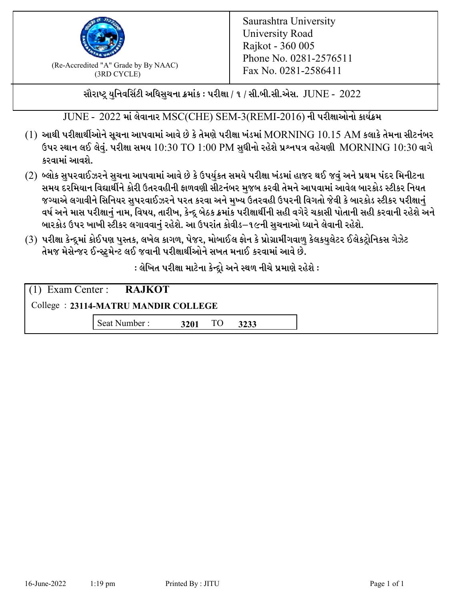

 $F_{\text{R}}$  (Re-Accredited "A" Grade by By NAAC)<br>(3PD CVCLE)<br> $F_{\text{R}}$  No. 0281-2586411 (3RD CYCLE)

સૌરાષ્ટ્ર યુનિવર્સિટી અધિસુચના ક્રમાંક : પરીક્ષા / ૧ / સી.બી.સી.એસ.  $\,$  JUNE -  $\,2022$ 

JUNE - 2022 માં લેવાનાર MSC(CHE) SEM-3(REMI-2016) ની પરીક્ષાઓનો કાર્યક્રમ

- $(1)$  આથી પરીક્ષાર્થીઓને સૂચના આપવામાં આવે છે કે તેમણે પરીક્ષા ખંડમાં  $\operatorname{MORNING}$   $10.15$   $\operatorname{AM}$  કલાકે તેમના સીટનંબર ઉપર સ્થાન લઈ લેવું. પરીક્ષા સમય  $10:30 \text{ TO } 1:00 \text{ PM}$  સુધીનો રહેશે પ્રશ્નપત્ર વહેચણી  $\text{MORNING } 10:30$  વાગે કરવામાં આવશે.
- (2) બ્લોક સુપરવાઈઝરને સુચના આપવામાં આવે છે કે ઉપર્યુકત સમયે પરીક્ષા ખંડમાં હાજર થઈ જવું અને પ્રથમ પંદર મિનીટના સમય દરમિયાન વિદ્યાર્થીને કોરી ઉતરવહીની ફાળવણી સીટનંબર મજબ કરવી તેમને આપવામાં આવેલ બારકોડ સ્ટીકર નિયત જગ્યાએ લગાવીને સિનિયર સુપરવાઈઝરને પરત કરવા અને મુખ્ય ઉતરવહી ઉપરની વિગતો જેવી કે બારકોડ સ્ટીકર પરીક્ષ<u>ાન</u>ં વર્ષ અને માસ પરીક્ષાનું નામ, વિષય, તારીખ, કેન્દ્ર બેઠક ક્રમાંક પરીક્ષાર્થીની સહી વગેરે ચકાસી પોતાની સહી કરવાની રહેશે અને બારકોડ ઉપર ખાખી સ્ટીકર લગાવવાનં રહેશે. આ ઉપરાંત કોવીડ–૧૯ની સચનાઓ ધ્યાને લેવાની રહેશે.
- (3) પરીક્ષા કેન્દ્રમાં કોઈપણ પુસ્તક, લખેલ કાગળ, પેજર, મોબાઈલ ફોન કે પ્રોગ્રામીંગવાળુ કેલકયુલેટર ઈલેકટ્રોનિકસ ગેઝેટ તેમજ મેસેન્જર ઈન્સ્ટમેન્ટ લઈ જવાની પરીક્ષાર્થીઓને સખત મનાઈ કરવામાં આવે છે.

: લેખિત પરીક્ષા માટેના કેન્દ્દો અને સ્થળ નીચે પ્રમાણે રહેશે :

|                                     | $(1)$ Exam Center : <b>RAJKOT</b> |      |    |      |  |  |
|-------------------------------------|-----------------------------------|------|----|------|--|--|
| College: 23114-MATRU MANDIR COLLEGE |                                   |      |    |      |  |  |
|                                     | Seat Number:                      | 3201 | TO | 3233 |  |  |